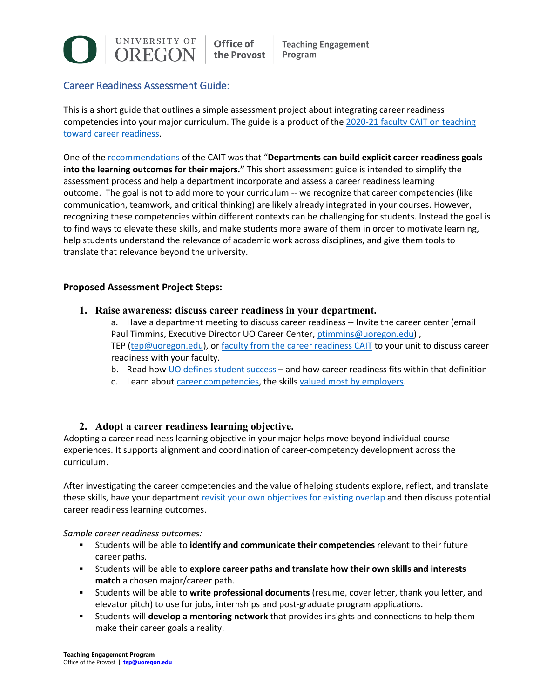

Office of the Provost

**Teaching Engagement** Program

# Career Readiness Assessment Guide:

This is a short guide that outlines a simple assessment project about integrating career readiness competencies into your major curriculum. The guide is a product of the [2020-21 faculty CAIT on teaching](https://teaching.uoregon.edu/CAITs#career)  [toward career readiness.](https://teaching.uoregon.edu/CAITs#career)

One of the [recommendations](https://teaching.uoregon.edu/sites/teaching1.uoregon.edu/files/2021-06/career-readiness-report.pdf) of the CAIT was that "**Departments can build explicit career readiness goals into the learning outcomes for their majors."** This short assessment guide is intended to simplify the assessment process and help a department incorporate and assess a career readiness learning outcome. The goal is not to add more to your curriculum -- we recognize that career competencies (like communication, teamwork, and critical thinking) are likely already integrated in your courses. However, recognizing these competencies within different contexts can be challenging for students. Instead the goal is to find ways to elevate these skills, and make students more aware of them in order to motivate learning, help students understand the relevance of academic work across disciplines, and give them tools to translate that relevance beyond the university.

## **Proposed Assessment Project Steps:**

**1. Raise awareness: discuss career readiness in your department.**

a. Have a department meeting to discuss career readiness -- Invite the career center (email Paul Timmins, Executive Director UO Career Center, [ptimmins@uoregon.edu\)](mailto:ptimmins@uoregon.edu), TEP [\(tep@uoregon.edu\)](mailto:tep@uoregon.edu), or [faculty from the career readiness CAIT](https://teaching.uoregon.edu/CAITs#career) to your unit to discuss career readiness with your faculty.

- b. Read how [UO defines student success](https://teaching.uoregon.edu/career-readiness#defined) and how career readiness fits within that definition
- c. Learn about [career competencies,](https://teaching.uoregon.edu/career-readiness#competencies) the skills [valued most by employers.](https://www.naceweb.org/career-readiness/competencies/the-four-career-competencies-employers-value-most/)

## **2. Adopt a career readiness learning objective.**

Adopting a career readiness learning objective in your major helps move beyond individual course experiences. It supports alignment and coordination of career-competency development across the curriculum.

After investigating the career competencies and the value of helping students explore, reflect, and translate these skills, have your department [revisit your own objectives for existing overlap](https://provost.uoregon.edu/curriculum-assessment) and then discuss potential career readiness learning outcomes.

### *Sample career readiness outcomes:*

- Students will be able to **identify and communicate their competencies** relevant to their future career paths.
- Students will be able to **explore career paths and translate how their own skills and interests match** a chosen major/career path.
- Students will be able to **write professional documents** (resume, cover letter, thank you letter, and elevator pitch) to use for jobs, internships and post-graduate program applications.
- Students will **develop a mentoring network** that provides insights and connections to help them make their career goals a reality.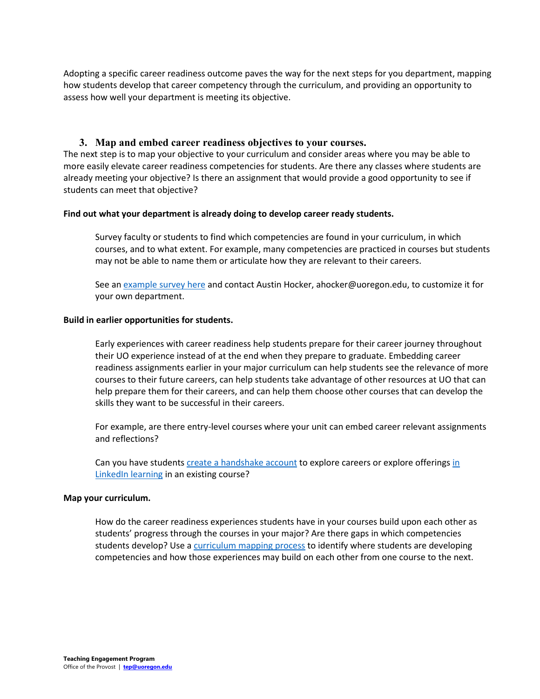Adopting a specific career readiness outcome paves the way for the next steps for you department, mapping how students develop that career competency through the curriculum, and providing an opportunity to assess how well your department is meeting its objective.

## **3. Map and embed career readiness objectives to your courses.**

The next step is to map your objective to your curriculum and consider areas where you may be able to more easily elevate career readiness competencies for students. Are there any classes where students are already meeting your objective? Is there an assignment that would provide a good opportunity to see if students can meet that objective?

#### **Find out what your department is already doing to develop career ready students.**

Survey faculty or students to find which competencies are found in your curriculum, in which courses, and to what extent. For example, many competencies are practiced in courses but students may not be able to name them or articulate how they are relevant to their careers.

See an [example survey here](https://oregon.qualtrics.com/jfe/form/SV_8uKQMKjKJXfq1kG) and contact Austin Hocker, ahocker@uoregon.edu, to customize it for your own department.

#### **Build in earlier opportunities for students.**

Early experiences with career readiness help students prepare for their career journey throughout their UO experience instead of at the end when they prepare to graduate. Embedding career readiness assignments earlier in your major curriculum can help students see the relevance of more courses to their future careers, can help students take advantage of other resources at UO that can help prepare them for their careers, and can help them choose other courses that can develop the skills they want to be successful in their careers.

For example, are there entry-level courses where your unit can embed career relevant assignments and reflections?

Can you have students [create a handshake account](https://career.uoregon.edu/handshake) to explore careers or explore offerings [in](https://hr.uoregon.edu/learning-development/linkedin-learning/linkedin-learning-create-your-account)  [LinkedIn learning](https://hr.uoregon.edu/learning-development/linkedin-learning/linkedin-learning-create-your-account) in an existing course?

#### **Map your curriculum.**

How do the career readiness experiences students have in your courses build upon each other as students' progress through the courses in your major? Are there gaps in which competencies students develop? Use a [curriculum mapping process](https://uoregon-my.sharepoint.com/:x:/g/personal/ahocker_uoregon_edu/EWY588zQQj5JpiJrVu9N-Q8BEsAIntzKhbxnYeU9FSYqTQ?e=NcyDKK) to identify where students are developing competencies and how those experiences may build on each other from one course to the next.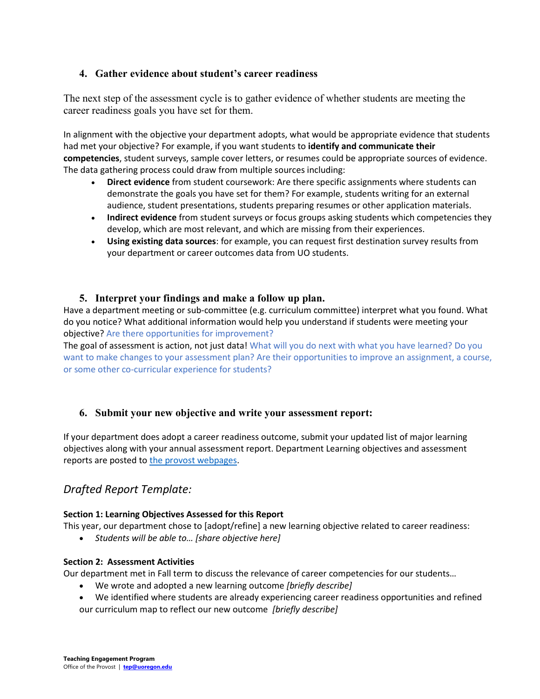## **4. Gather evidence about student's career readiness**

The next step of the assessment cycle is to gather evidence of whether students are meeting the career readiness goals you have set for them.

In alignment with the objective your department adopts, what would be appropriate evidence that students had met your objective? For example, if you want students to **identify and communicate their competencies**, student surveys, sample cover letters, or resumes could be appropriate sources of evidence. The data gathering process could draw from multiple sources including:

- **Direct evidence** from student coursework: Are there specific assignments where students can demonstrate the goals you have set for them? For example, students writing for an external audience, student presentations, students preparing resumes or other application materials.
- **Indirect evidence** from student surveys or focus groups asking students which competencies they develop, which are most relevant, and which are missing from their experiences.
- **Using existing data sources**: for example, you can request first destination survey results from your department or career outcomes data from UO students.

## **5. Interpret your findings and make a follow up plan.**

Have a department meeting or sub-committee (e.g. curriculum committee) interpret what you found. What do you notice? What additional information would help you understand if students were meeting your objective? Are there opportunities for improvement?

The goal of assessment is action, not just data! What will you do next with what you have learned? Do you want to make changes to your assessment plan? Are their opportunities to improve an assignment, a course, or some other co-curricular experience for students?

# **6. Submit your new objective and write your assessment report:**

If your department does adopt a career readiness outcome, submit your updated list of major learning objectives along with your annual assessment report. Department Learning objectives and assessment reports are posted to [the provost webpages.](https://provost.uoregon.edu/curriculum-assessment)

# *Drafted Report Template:*

## **Section 1: Learning Objectives Assessed for this Report**

This year, our department chose to [adopt/refine] a new learning objective related to career readiness:

• *Students will be able to… [share objective here]*

### **Section 2: Assessment Activities**

Our department met in Fall term to discuss the relevance of career competencies for our students…

- We wrote and adopted a new learning outcome *[briefly describe]*
- We identified where students are already experiencing career readiness opportunities and refined

our curriculum map to reflect our new outcome *[briefly describe]*